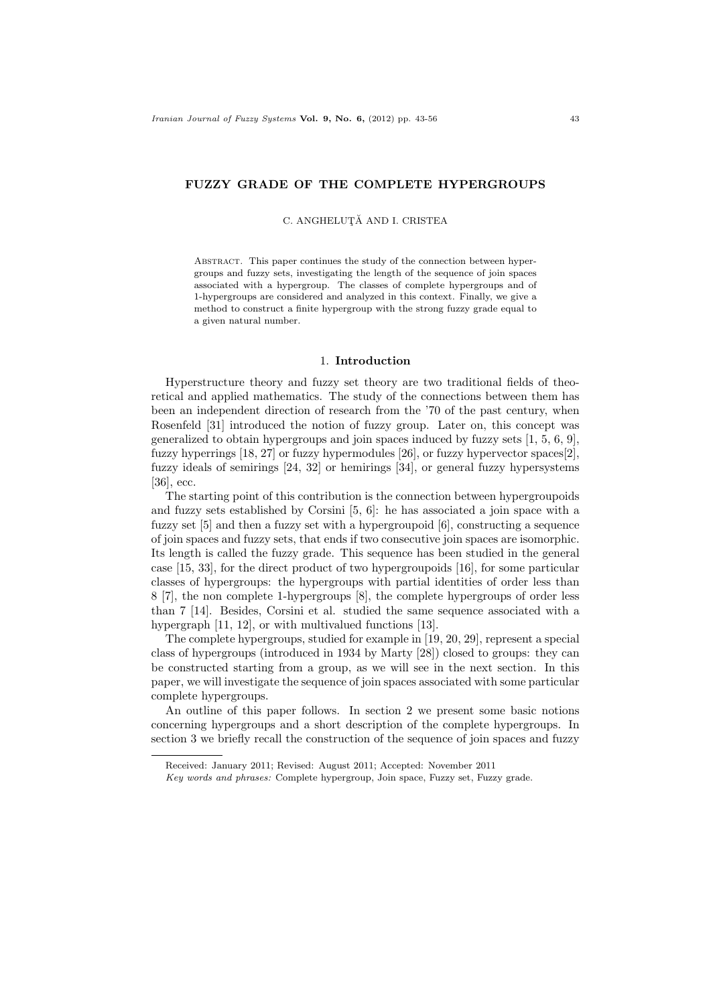### FUZZY GRADE OF THE COMPLETE HYPERGROUPS

C. ANGHELUTĂ AND I. CRISTEA

ABSTRACT. This paper continues the study of the connection between hypergroups and fuzzy sets, investigating the length of the sequence of join spaces associated with a hypergroup. The classes of complete hypergroups and of 1-hypergroups are considered and analyzed in this context. Finally, we give a method to construct a finite hypergroup with the strong fuzzy grade equal to a given natural number.

### 1. Introduction

Hyperstructure theory and fuzzy set theory are two traditional fields of theoretical and applied mathematics. The study of the connections between them has been an independent direction of research from the '70 of the past century, when Rosenfeld [31] introduced the notion of fuzzy group. Later on, this concept was generalized to obtain hypergroups and join spaces induced by fuzzy sets [1, 5, 6, 9], fuzzy hyperrings [18, 27] or fuzzy hypermodules [26], or fuzzy hypervector spaces[2], fuzzy ideals of semirings [24, 32] or hemirings [34], or general fuzzy hypersystems [36], ecc.

The starting point of this contribution is the connection between hypergroupoids and fuzzy sets established by Corsini [5, 6]: he has associated a join space with a fuzzy set  $[5]$  and then a fuzzy set with a hypergroupoid  $[6]$ , constructing a sequence of join spaces and fuzzy sets, that ends if two consecutive join spaces are isomorphic. Its length is called the fuzzy grade. This sequence has been studied in the general case [15, 33], for the direct product of two hypergroupoids [16], for some particular classes of hypergroups: the hypergroups with partial identities of order less than 8 [7], the non complete 1-hypergroups [8], the complete hypergroups of order less than 7 [14]. Besides, Corsini et al. studied the same sequence associated with a hypergraph [11, 12], or with multivalued functions [13].

The complete hypergroups, studied for example in [19, 20, 29], represent a special class of hypergroups (introduced in 1934 by Marty [28]) closed to groups: they can be constructed starting from a group, as we will see in the next section. In this paper, we will investigate the sequence of join spaces associated with some particular complete hypergroups.

An outline of this paper follows. In section 2 we present some basic notions concerning hypergroups and a short description of the complete hypergroups. In section 3 we briefly recall the construction of the sequence of join spaces and fuzzy

Received: January 2011; Revised: August 2011; Accepted: November 2011

Key words and phrases: Complete hypergroup, Join space, Fuzzy set, Fuzzy grade.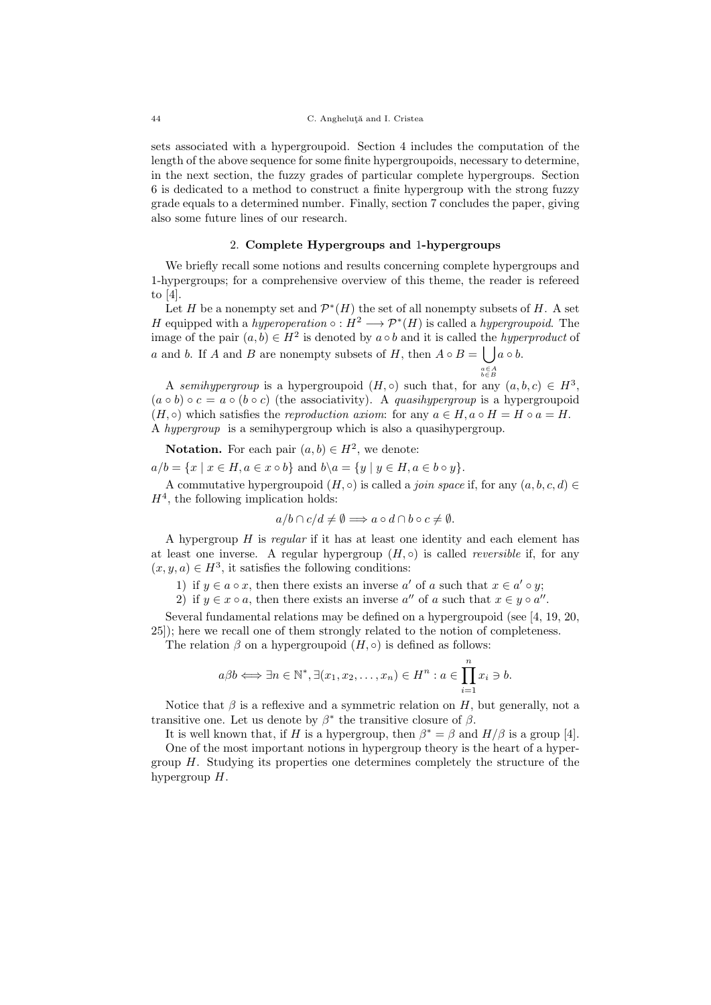sets associated with a hypergroupoid. Section 4 includes the computation of the length of the above sequence for some finite hypergroupoids, necessary to determine, in the next section, the fuzzy grades of particular complete hypergroups. Section 6 is dedicated to a method to construct a finite hypergroup with the strong fuzzy grade equals to a determined number. Finally, section 7 concludes the paper, giving also some future lines of our research.

## 2. Complete Hypergroups and 1-hypergroups

We briefly recall some notions and results concerning complete hypergroups and 1-hypergroups; for a comprehensive overview of this theme, the reader is refereed to [4].

Let H be a nonempty set and  $\mathcal{P}^*(H)$  the set of all nonempty subsets of H. A set H equipped with a hyperoperation  $\circ : H^2 \longrightarrow \mathcal{P}^*(H)$  is called a hypergroupoid. The image of the pair  $(a, b) \in H^2$  is denoted by  $a \circ b$  and it is called the *hyperproduct* of a and b. If A and B are nonempty subsets of H, then  $A \circ B = \int_{a}^{b} a \circ b$ . a∈A b∈B

A semihypergroup is a hypergroupoid  $(H, \circ)$  such that, for any  $(a, b, c) \in H^3$ ,  $(a \circ b) \circ c = a \circ (b \circ c)$  (the associativity). A quasihypergroup is a hypergroupoid  $(H, \circ)$  which satisfies the reproduction axiom: for any  $a \in H$ ,  $a \circ H = H \circ a = H$ . A hypergroup is a semihypergroup which is also a quasihypergroup.

**Notation.** For each pair  $(a, b) \in H^2$ , we denote:  $a/b = \{x \mid x \in H, a \in x \circ b\}$  and  $b \setminus a = \{y \mid y \in H, a \in b \circ y\}.$ 

A commutative hypergroupoid  $(H, \circ)$  is called a *join space* if, for any  $(a, b, c, d) \in$  $H<sup>4</sup>$ , the following implication holds:

$$
a/b \cap c/d \neq \emptyset \Longrightarrow a \circ d \cap b \circ c \neq \emptyset.
$$

A hypergroup H is regular if it has at least one identity and each element has at least one inverse. A regular hypergroup  $(H, \circ)$  is called *reversible* if, for any  $(x, y, a) \in H^3$ , it satisfies the following conditions:

1) if  $y \in a \circ x$ , then there exists an inverse a' of a such that  $x \in a' \circ y$ ;

2) if  $y \in x \circ a$ , then there exists an inverse  $a''$  of a such that  $x \in y \circ a''$ .

Several fundamental relations may be defined on a hypergroupoid (see [4, 19, 20, 25]); here we recall one of them strongly related to the notion of completeness.

The relation  $\beta$  on a hypergroupoid  $(H, \circ)$  is defined as follows:

$$
a\beta b \Longleftrightarrow \exists n \in \mathbb{N}^*, \exists (x_1, x_2, \dots, x_n) \in H^n : a \in \prod_{i=1}^n x_i \ni b.
$$

Notice that  $\beta$  is a reflexive and a symmetric relation on H, but generally, not a transitive one. Let us denote by  $\beta^*$  the transitive closure of  $\beta$ .

It is well known that, if H is a hypergroup, then  $\beta^* = \beta$  and  $H/\beta$  is a group [4].

One of the most important notions in hypergroup theory is the heart of a hypergroup  $H$ . Studying its properties one determines completely the structure of the hypergroup  $H$ .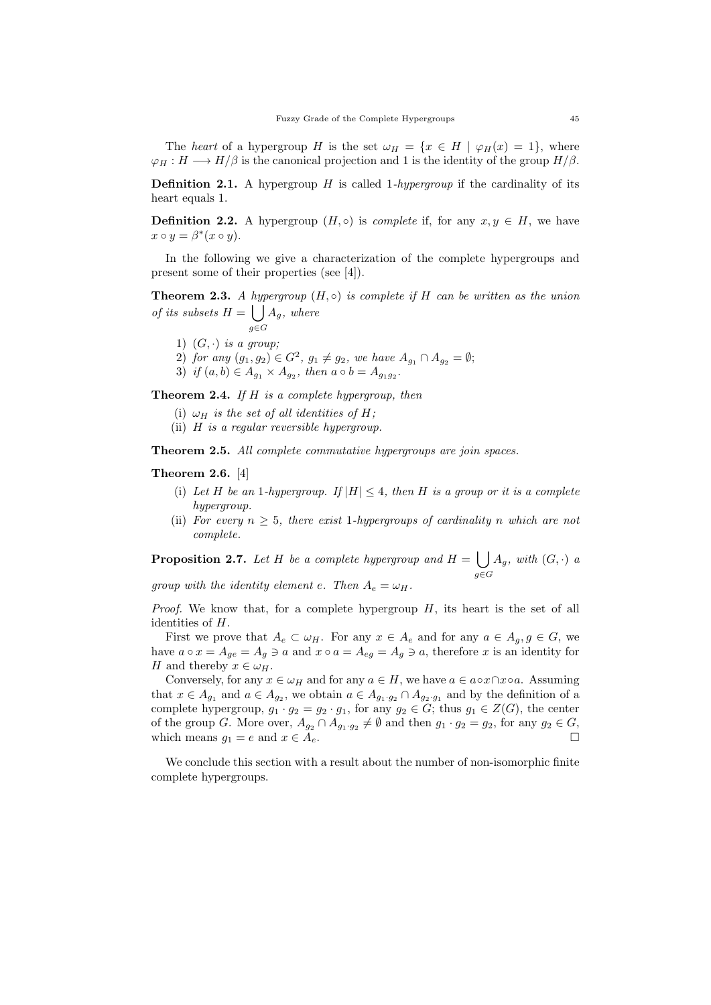The heart of a hypergroup H is the set  $\omega_H = \{x \in H \mid \varphi_H(x) = 1\}$ , where  $\varphi_H : H \longrightarrow H/\beta$  is the canonical projection and 1 is the identity of the group  $H/\beta$ .

**Definition 2.1.** A hypergroup  $H$  is called 1-hypergroup if the cardinality of its heart equals 1.

**Definition 2.2.** A hypergroup  $(H, \circ)$  is *complete* if, for any  $x, y \in H$ , we have  $x \circ y = \beta^*(x \circ y).$ 

In the following we give a characterization of the complete hypergroups and present some of their properties (see [4]).

**Theorem 2.3.** A hypergroup  $(H, \circ)$  is complete if H can be written as the union of its subsets  $H = \int A_g$ , where  $g\bar{\in}G$ 

- 1)  $(G, \cdot)$  is a group;
- 2) for any  $(g_1, g_2) \in G^2$ ,  $g_1 \neq g_2$ , we have  $A_{g_1} \cap A_{g_2} = \emptyset$ ;
- 3) if  $(a, b) \in A_{g_1} \times A_{g_2}$ , then  $a \circ b = A_{g_1 g_2}$ .

**Theorem 2.4.** If  $H$  is a complete hypergroup, then

- (i)  $\omega_H$  is the set of all identities of H;
- (ii) H is a regular reversible hypergroup.

Theorem 2.5. All complete commutative hypergroups are join spaces.

### Theorem 2.6. [4]

- (i) Let H be an 1-hypergroup. If  $|H| \leq 4$ , then H is a group or it is a complete hypergroup.
- (ii) For every  $n \geq 5$ , there exist 1-hypergroups of cardinality n which are not complete.

**Proposition 2.7.** Let H be a complete hypergroup and  $H = \begin{bmatrix} \end{bmatrix}$ g∈G  $A_g$ , with  $(G, \cdot)$  a

group with the identity element e. Then  $A_e = \omega_H$ .

*Proof.* We know that, for a complete hypergroup  $H$ , its heart is the set of all identities of H.

First we prove that  $A_e \subset \omega_H$ . For any  $x \in A_e$  and for any  $a \in A_g$ ,  $g \in G$ , we have  $a \circ x = A_{ge} = A_g \ni a$  and  $x \circ a = A_{eg} = A_g \ni a$ , therefore x is an identity for H and thereby  $x \in \omega_H$ .

Conversely, for any  $x \in \omega_H$  and for any  $a \in H$ , we have  $a \in a \circ x \cap x \circ a$ . Assuming that  $x \in A_{g_1}$  and  $a \in A_{g_2}$ , we obtain  $a \in A_{g_1 \cdot g_2} \cap A_{g_2 \cdot g_1}$  and by the definition of a complete hypergroup,  $g_1 \cdot g_2 = g_2 \cdot g_1$ , for any  $g_2 \in G$ ; thus  $g_1 \in Z(G)$ , the center of the group G. More over,  $A_{g_2} \cap A_{g_1 \cdot g_2} \neq \emptyset$  and then  $g_1 \cdot g_2 = g_2$ , for any  $g_2 \in G$ , which means  $g_1 = e$  and  $x \in A_e$ .

We conclude this section with a result about the number of non-isomorphic finite complete hypergroups.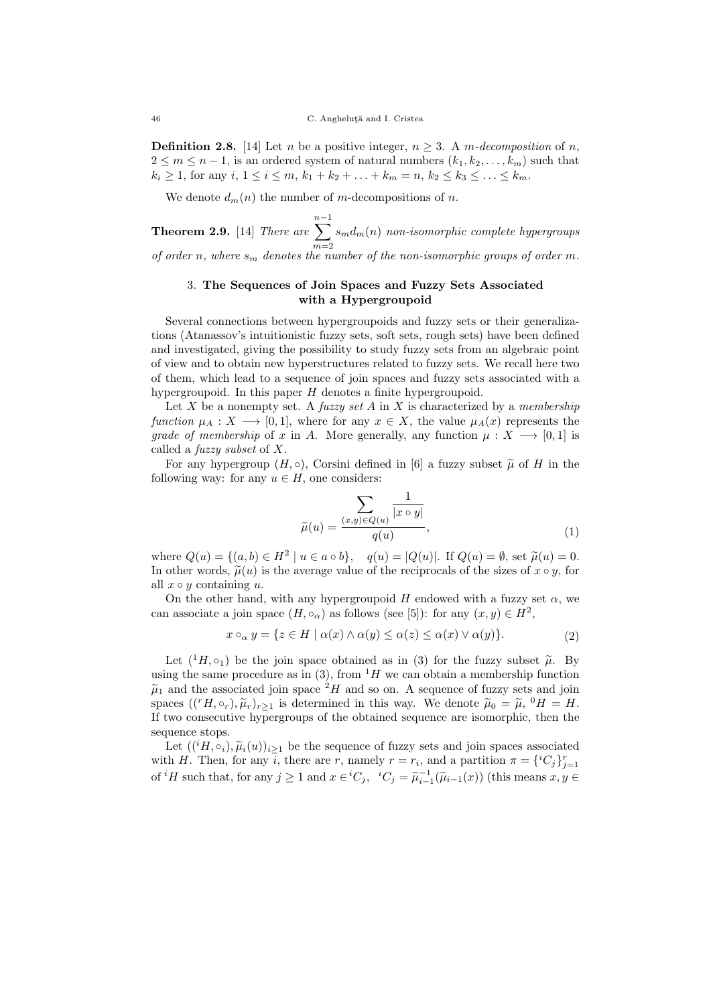**Definition 2.8.** [14] Let n be a positive integer,  $n \geq 3$ . A m-decomposition of n,  $2 \leq m \leq n-1$ , is an ordered system of natural numbers  $(k_1, k_2, \ldots, k_m)$  such that  $k_i \geq 1$ , for any  $i, 1 \leq i \leq m, k_1 + k_2 + \ldots + k_m = n, k_2 \leq k_3 \leq \ldots \leq k_m$ .

We denote  $d_m(n)$  the number of m-decompositions of n.

**Theorem 2.9.** [14] There are  $\sum^{n-1}$  $m=2$  $s_md_m(n)$  non-isomorphic complete hypergroups of order n, where  $s_m$  denotes the number of the non-isomorphic groups of order m.

## 3. The Sequences of Join Spaces and Fuzzy Sets Associated with a Hypergroupoid

Several connections between hypergroupoids and fuzzy sets or their generalizations (Atanassov's intuitionistic fuzzy sets, soft sets, rough sets) have been defined and investigated, giving the possibility to study fuzzy sets from an algebraic point of view and to obtain new hyperstructures related to fuzzy sets. We recall here two of them, which lead to a sequence of join spaces and fuzzy sets associated with a hypergroupoid. In this paper  $H$  denotes a finite hypergroupoid.

Let X be a nonempty set. A fuzzy set A in X is characterized by a membership function  $\mu_A : X \longrightarrow [0,1]$ , where for any  $x \in X$ , the value  $\mu_A(x)$  represents the grade of membership of x in A. More generally, any function  $\mu : X \longrightarrow [0,1]$  is called a fuzzy subset of X.

For any hypergroup  $(H, \circ)$ , Corsini defined in [6] a fuzzy subset  $\tilde{\mu}$  of H in the following way: for any  $u \in H$ , one considers:

$$
\widetilde{\mu}(u) = \frac{\sum_{(x,y)\in Q(u)} \frac{1}{|x \circ y|}}{q(u)},\tag{1}
$$

where  $Q(u) = \{(a, b) \in H^2 \mid u \in a \circ b\}$ ,  $q(u) = |Q(u)|$ . If  $Q(u) = \emptyset$ , set  $\tilde{\mu}(u) = 0$ .<br>In other words  $\tilde{\mu}(u)$  is the average value of the regime calls of the sizes of  $x \circ u$  for In other words,  $\tilde{\mu}(u)$  is the average value of the reciprocals of the sizes of  $x \circ y$ , for all  $x \circ y$  containing u.

On the other hand, with any hypergroupoid H endowed with a fuzzy set  $\alpha$ , we can associate a join space  $(H, \circ_{\alpha})$  as follows (see [5]): for any  $(x, y) \in H^2$ ,

$$
x \circ_{\alpha} y = \{ z \in H \mid \alpha(x) \land \alpha(y) \le \alpha(z) \le \alpha(x) \lor \alpha(y) \}. \tag{2}
$$

Let  $({}^{1}H, \circ_1)$  be the join space obtained as in (3) for the fuzzy subset  $\tilde{\mu}$ . By using the same procedure as in (3), from  $H$  we can obtain a membership function  $\tilde{\mu}_1$  and the associated join space  $^2H$  and so on. A sequence of fuzzy sets and join spaces  $((^rH, \circ_r), \tilde{\mu}_r)_{r\geq 1}$  is determined in this way. We denote  $\tilde{\mu}_0 = \tilde{\mu}, 0H = H$ .<br>If two consocutive hypergroups of the obtained sequence are isomorphic, then the If two consecutive hypergroups of the obtained sequence are isomorphic, then the sequence stops.

Let  $((iH, \circ_i), \tilde{\mu}_i(u))_{i\geq 1}$  be the sequence of fuzzy sets and join spaces associated with H. Then, for any i, there are r, namely  $r = r_i$ , and a partition  $\pi = \{^iC_j\}_{j=1}^r$ of <sup>*i*</sup>H such that, for any  $j \ge 1$  and  $x \in {^iC_j}$ ,  ${^iC_j} = \widetilde{\mu}_{i-1}^{-1}(\widetilde{\mu}_{i-1}(x))$  (this means  $x, y \in$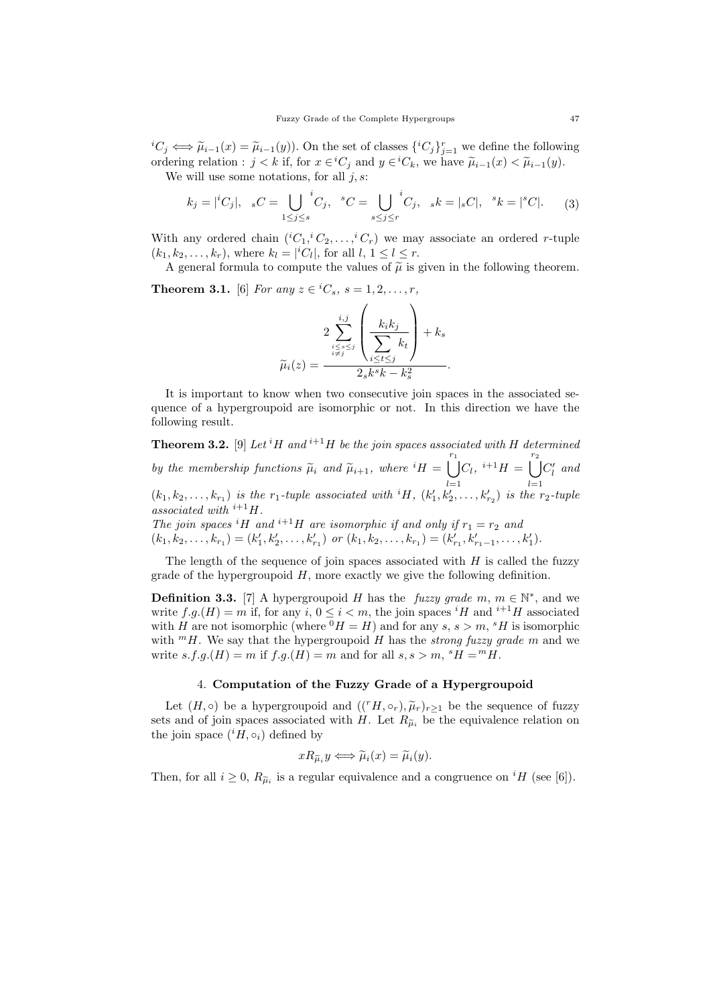${}^{i}C_{j} \Longleftrightarrow \widetilde{\mu}_{i-1}(x) = \widetilde{\mu}_{i-1}(y)$ . On the set of classes  $\{ {}^{i}C_{j}} \}_{j=1}^{r}$  we define the following ordering relation :  $j < k$  if, for  $x \in {}^{i}C_{j}$  and  $y \in {}^{i}C_{k}$ , we have  $\tilde{\mu}_{i-1}(x) < \tilde{\mu}_{i-1}(y)$ .<br>We will use some notations, for all  $i$  s:

We will use some notations, for all  $j, s$ :

$$
k_j = |{}^{i}C_j|, \quad {}_{s}C = \bigcup_{1 \leq j \leq s} {}^{i}C_j, \quad {}^{s}C = \bigcup_{s \leq j \leq r} {}^{i}C_j, \quad {}_{s}k = |{}_{s}C|, \quad {}^{s}k = |{}^{s}C|.
$$
 (3)

With any ordered chain  $({}^{i}C_1, {}^{i}C_2, \ldots, {}^{i}C_r)$  we may associate an ordered r-tuple  $(k_1, k_2, \ldots, k_r)$ , where  $k_l = |{}^iC_l|$ , for all  $l, 1 \leq l \leq r$ .

A general formula to compute the values of  $\tilde{\mu}$  is given in the following theorem.

**Theorem 3.1.** [6] For any  $z \in {^iC_s}$ ,  $s = 1, 2, ..., r$ ,

$$
\widetilde{\mu}_i(z) = \frac{2 \sum_{\substack{i \leq s \leq j \\ i \neq j}}^{i,j} \left( \frac{k_i k_j}{\sum_{i \leq t \leq j} k_t} \right) + k_s}{2_s k^s k - k_s^2}.
$$

It is important to know when two consecutive join spaces in the associated sequence of a hypergroupoid are isomorphic or not. In this direction we have the following result.

**Theorem 3.2.** [9] Let <sup>i</sup>H and <sup>i+1</sup>H be the join spaces associated with H determined by the membership functions  $\widetilde{\mu}_i$  and  $\widetilde{\mu}_{i+1}$ , where  ${}^{i}H =$  $\int_{1}^{r_1}$  $l=1$  $C_l, i+1H = \begin{bmatrix} r_2 \\ \end{bmatrix}$  $l=1$  $C'_{l}$  and  $(k_1, k_2, \ldots, k_{r_1})$  is the  $r_1$ -tuple associated with <sup>i</sup>H,  $(k'_1, k'_2, \ldots, k'_{r_2})$  is the  $r_2$ -tuple associated with  $i+1$   $H$ . The join spaces <sup>i</sup>H and <sup>i+1</sup>H are isomorphic if and only if  $r_1 = r_2$  and

 $(k_1, k_2, \ldots, k_{r_1}) = (k'_1, k'_2, \ldots, k'_{r_1})$  or  $(k_1, k_2, \ldots, k_{r_1}) = (k'_{r_1}, k'_{r_1-1}, \ldots, k'_1)$ .

The length of the sequence of join spaces associated with  $H$  is called the fuzzy grade of the hypergroupoid  $H$ , more exactly we give the following definition.

**Definition 3.3.** [7] A hypergroupoid H has the *fuzzy grade*  $m, m \in \mathbb{N}^*$ , and we write  $f.g.(H) = m$  if, for any  $i, 0 \le i < m$ , the join spaces <sup>i</sup>H and <sup>i+1</sup>H associated with H are not isomorphic (where  $^{0}H = H$ ) and for any s, s > m,  $^{s}H$  is isomorphic with  $^mH$ . We say that the hypergroupoid H has the strong fuzzy grade m and we write  $s.f.g.(H) = m$  if  $f.g.(H) = m$  and for all  $s, s > m$ ,  ${}^sH = {}^mH$ .

# 4. Computation of the Fuzzy Grade of a Hypergroupoid

Let  $(H, \circ)$  be a hypergroupoid and  $((<sup>r</sup> H, \circ_r), \tilde{\mu}_r)_{r\geq 1}$  be the sequence of fuzzy sets and of join spaces associated with H. Let  $R_{\tilde{\mu}_i}$  be the equivalence relation on the join space  $({}^{i}H, \circ_i)$  defined by

$$
xR_{\widetilde{\mu}_i}y \Longleftrightarrow \widetilde{\mu}_i(x) = \widetilde{\mu}_i(y).
$$

Then, for all  $i \geq 0$ ,  $R_{\tilde{\mu}_i}$  is a regular equivalence and a congruence on <sup>i</sup>H (see [6]).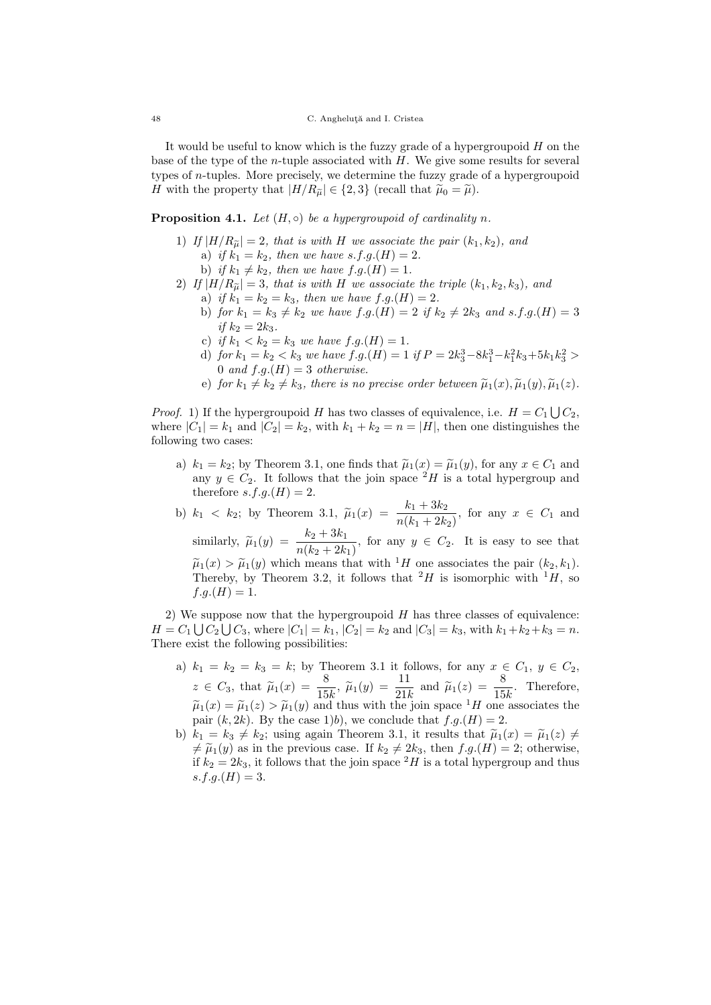It would be useful to know which is the fuzzy grade of a hypergroupoid  $H$  on the base of the type of the *n*-tuple associated with  $H$ . We give some results for several types of n-tuples. More precisely, we determine the fuzzy grade of a hypergroupoid H with the property that  $|H/R_{\tilde{\mu}}| \in \{2,3\}$  (recall that  $\tilde{\mu}_0 = \tilde{\mu}$ ).

# **Proposition 4.1.** Let  $(H, \circ)$  be a hypergroupoid of cardinality n.

- 1) If  $|H/R_{\tilde{\mu}}| = 2$ , that is with H we associate the pair  $(k_1, k_2)$ , and a) if  $k_1 = k_2$ , then we have s.f.g.(H) = 2.
	- b) if  $k_1 \neq k_2$ , then we have  $f.g.(H) = 1$ .
- 2) If  $|H/R_{\tilde{u}}|=3$ , that is with H we associate the triple  $(k_1, k_2, k_3)$ , and a) if  $k_1 = k_2 = k_3$ , then we have  $f.g.(H) = 2$ .
	- b) for  $k_1 = k_3 \neq k_2$  we have  $f.g.(H) = 2$  if  $k_2 \neq 2k_3$  and  $s.f.g.(H) = 3$ if  $k_2 = 2k_3$ .
	- c) if  $k_1 < k_2 = k_3$  we have  $f.g.(H) = 1$ .
	- d) for  $k_1 = k_2 < k_3$  we have  $f.g.(H) = 1$  if  $P = 2k_3^3 8k_1^3 k_1^2k_3 + 5k_1k_3^2 >$ 0 and  $f.g.(H) = 3$  otherwise.
	- e) for  $k_1 \neq k_2 \neq k_3$ , there is no precise order between  $\tilde{\mu}_1(x), \tilde{\mu}_1(y), \tilde{\mu}_1(z)$ .

*Proof.* 1) If the hypergroupoid H has two classes of equivalence, i.e.  $H = C_1 \bigcup C_2$ , where  $|C_1| = k_1$  and  $|C_2| = k_2$ , with  $k_1 + k_2 = n = |H|$ , then one distinguishes the following two cases:

- a)  $k_1 = k_2$ ; by Theorem 3.1, one finds that  $\tilde{\mu}_1(x) = \tilde{\mu}_1(y)$ , for any  $x \in C_1$  and any  $y \in C_2$ . It follows that the join space <sup>2</sup>H is a total hypergroup and therefore  $s.f.g.(H) = 2$ .
- b)  $k_1 < k_2$ ; by Theorem 3.1,  $\tilde{\mu}_1(x) = \frac{k_1 + 3k_2}{n(k_1 + 2k_2)}$ , for any  $x \in C_1$  and

similarly,  $\widetilde{\mu}_1(y) = \frac{k_2 + 3k_1}{n(k_2 + 2k_1)}$ , for any  $y \in C_2$ . It is easy to see that  $\tilde{\mu}_1(x) > \tilde{\mu}_1(y)$  which means that with <sup>1</sup>H one associates the pair  $(k_2, k_1)$ . Thereby, by Theorem 3.2, it follows that  $^2H$  is isomorphic with  $^1H$ , so  $f.g.(H) = 1.$ 

2) We suppose now that the hypergroupoid  $H$  has three classes of equivalence:  $H = C_1 \bigcup C_2 \bigcup C_3$ , where  $|C_1| = k_1$ ,  $|C_2| = k_2$  and  $|C_3| = k_3$ , with  $k_1 + k_2 + k_3 = n$ . There exist the following possibilities:

- a)  $k_1 = k_2 = k_3 = k$ ; by Theorem 3.1 it follows, for any  $x \in C_1$ ,  $y \in C_2$ ,  $z \in C_3$ , that  $\widetilde{\mu}_1(x) = \frac{8}{15k}$ ,  $\widetilde{\mu}_1(y) = \frac{11}{21k}$  and  $\widetilde{\mu}_1(z) = \frac{8}{15k}$ . Therefore,  $\tilde{\mu}_1(x) = \tilde{\mu}_1(x) > \tilde{\mu}_1(y)$  and thus with the join space  ${}^1H$  one associates the pair  $(k, 2k)$ . By the case 1)b), we conclude that  $f.g.(H) = 2$ .
- b)  $k_1 = k_3 \neq k_2$ ; using again Theorem 3.1, it results that  $\tilde{\mu}_1(x) = \tilde{\mu}_1(z) \neq$  $\neq \tilde{\mu}_1(y)$  as in the previous case. If  $k_2 \neq 2k_3$ , then  $f.g.(H) = 2$ ; otherwise, if  $k_2 = 2k_3$ , it follows that the join space  ${}^2H$  is a total hypergroup and thus  $s.f.q.(H) = 3.$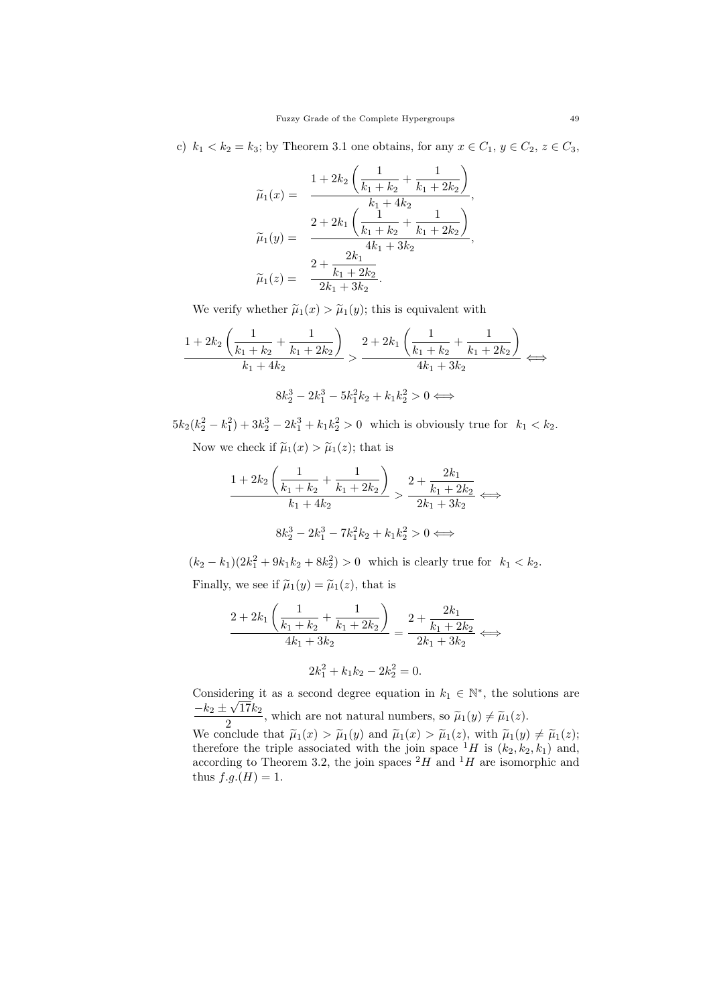c)  $k_1 < k_2 = k_3$ ; by Theorem 3.1 one obtains, for any  $x \in C_1$ ,  $y \in C_2$ ,  $z \in C_3$ ,

$$
\widetilde{\mu}_1(x) = \frac{1 + 2k_2 \left(\frac{1}{k_1 + k_2} + \frac{1}{k_1 + 2k_2}\right)}{k_1 + 4k_2},
$$
\n
$$
\widetilde{\mu}_1(y) = \frac{2 + 2k_1 \left(\frac{1}{k_1 + k_2} + \frac{1}{k_1 + 2k_2}\right)}{4k_1 + 3k_2},
$$
\n
$$
\widetilde{\mu}_1(z) = \frac{2 + \frac{2k_1}{k_1 + 2k_2}}{2k_1 + 3k_2}.
$$

We verify whether  $\tilde{\mu}_1(x) > \tilde{\mu}_1(y)$ ; this is equivalent with

$$
\frac{1+2k_2\left(\frac{1}{k_1+k_2}+\frac{1}{k_1+2k_2}\right)}{k_1+4k_2} > \frac{2+2k_1\left(\frac{1}{k_1+k_2}+\frac{1}{k_1+2k_2}\right)}{4k_1+3k_2} \iff
$$
  

$$
8k_2^3 - 2k_1^3 - 5k_1^2k_2 + k_1k_2^2 > 0 \iff
$$

 $5k_2(k_2^2 - k_1^2) + 3k_2^3 - 2k_1^3 + k_1k_2^2 > 0$  which is obviously true for  $k_1 < k_2$ .

Now we check if  $\tilde{\mu}_1(x) > \tilde{\mu}_1(z)$ ; that is

$$
\frac{1+2k_2\left(\frac{1}{k_1+k_2}+\frac{1}{k_1+2k_2}\right)}{k_1+4k_2} > \frac{2+\frac{2k_1}{k_1+2k_2}}{2k_1+3k_2} \iff
$$

$$
8k_2^3 - 2k_1^3 - 7k_1^2k_2 + k_1k_2^2 > 0 \iff
$$

 $(k_2 - k_1)(2k_1^2 + 9k_1k_2 + 8k_2^2) > 0$  which is clearly true for  $k_1 < k_2$ .

Finally, we see if  $\tilde{\mu}_1(y) = \tilde{\mu}_1(z)$ , that is

$$
\frac{2+2k_1\left(\frac{1}{k_1+k_2}+\frac{1}{k_1+2k_2}\right)}{4k_1+3k_2}=\frac{2+\frac{2k_1}{k_1+2k_2}}{2k_1+3k_2}\iff
$$

$$
2k_1^2 + k_1k_2 - 2k_2^2 = 0.
$$

Considering it as a second degree equation in  $k_1 \in \mathbb{N}^*$ , the solutions are  $-k_2 \pm \sqrt{17k_2}$ 

 $\frac{\widetilde{\mu}_1(y) + \widetilde{\mu}_1(z)}{2}$ , which are not natural numbers, so  $\widetilde{\mu}_1(y) \neq \widetilde{\mu}_1(z)$ . We conclude that  $\tilde{\mu}_1(x) > \tilde{\mu}_1(y)$  and  $\tilde{\mu}_1(x) > \tilde{\mu}_1(z)$ , with  $\tilde{\mu}_1(y) \neq \tilde{\mu}_1(z)$ ;<br>therefore the triple associated with the join space <sup>1</sup>H is  $(k_2, k_2, k_1)$  and, according to Theorem 3.2, the join spaces  $^2H$  and  $^1H$  are isomorphic and thus  $f.g.(H) = 1$ .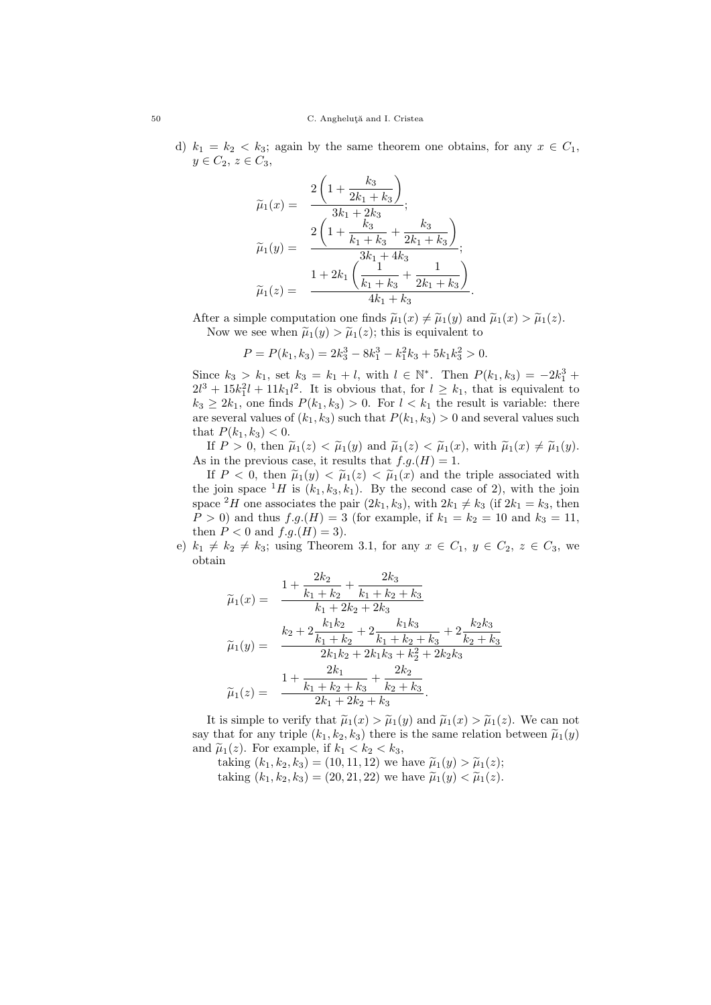d)  $k_1 = k_2 < k_3$ ; again by the same theorem one obtains, for any  $x \in C_1$ ,  $y \in C_2, z \in C_3,$ 

$$
\widetilde{\mu}_1(x) = \frac{2\left(1 + \frac{k_3}{2k_1 + k_3}\right)}{3k_1 + 2k_3},
$$
\n
$$
\widetilde{\mu}_1(y) = \frac{2\left(1 + \frac{k_3}{k_1 + k_3} + \frac{k_3}{2k_1 + k_3}\right)}{3k_1 + 4k_3},
$$
\n
$$
\widetilde{\mu}_1(z) = \frac{1 + 2k_1\left(\frac{1}{k_1 + k_3} + \frac{1}{2k_1 + k_3}\right)}{4k_1 + k_3}.
$$

After a simple computation one finds  $\tilde{\mu}_1(x) \neq \tilde{\mu}_1(y)$  and  $\tilde{\mu}_1(x) > \tilde{\mu}_1(z)$ . Now we see when  $\tilde{\mu}_1(y) > \tilde{\mu}_1(z)$ ; this is equivalent to

$$
P = P(k_1, k_3) = 2k_3^3 - 8k_1^3 - k_1^2k_3 + 5k_1k_3^2 > 0.
$$

Since  $k_3 > k_1$ , set  $k_3 = k_1 + l$ , with  $l \in \mathbb{N}^*$ . Then  $P(k_1, k_3) = -2k_1^3 +$  $2l^3 + 15k_1^2l + 11k_1l^2$ . It is obvious that, for  $l \geq k_1$ , that is equivalent to  $k_3 \geq 2k_1$ , one finds  $P(k_1, k_3) > 0$ . For  $l < k_1$  the result is variable: there are several values of  $(k_1, k_3)$  such that  $P(k_1, k_3) > 0$  and several values such that  $P(k_1, k_3) < 0$ .

If  $P > 0$ , then  $\tilde{\mu}_1(z) < \tilde{\mu}_1(y)$  and  $\tilde{\mu}_1(z) < \tilde{\mu}_1(x)$ , with  $\tilde{\mu}_1(x) \neq \tilde{\mu}_1(y)$ . As in the previous case, it results that  $f.g.(H) = 1$ .

If  $P < 0$ , then  $\tilde{\mu}_1(y) < \tilde{\mu}_1(z) < \tilde{\mu}_1(x)$  and the triple associated with the join space  ${}^{1}H$  is  $(k_1, k_3, k_1)$ . By the second case of 2), with the join space <sup>2</sup>H one associates the pair  $(2k_1, k_3)$ , with  $2k_1 \neq k_3$  (if  $2k_1 = k_3$ , then  $P > 0$ ) and thus  $f.g.(H) = 3$  (for example, if  $k_1 = k_2 = 10$  and  $k_3 = 11$ , then  $P < 0$  and  $f.g.(H) = 3$ ).

e)  $k_1 \neq k_2 \neq k_3$ ; using Theorem 3.1, for any  $x \in C_1$ ,  $y \in C_2$ ,  $z \in C_3$ , we obtain

 $\Omega$ 

$$
\widetilde{\mu}_1(x) = \frac{1 + \frac{2k_2}{k_1 + k_2} + \frac{2k_3}{k_1 + k_2 + k_3}}{k_1 + 2k_2 + 2k_3} \n\widetilde{\mu}_1(y) = \frac{k_2 + 2\frac{k_1k_2}{k_1 + k_2} + 2\frac{k_1k_3}{k_1 + k_2 + k_3} + 2\frac{k_2k_3}{k_2 + k_3}}{2k_1k_2 + 2k_1k_3 + k_2^2 + 2k_2k_3} \n\widetilde{\mu}_1(z) = \frac{1 + \frac{2k_1}{k_1 + k_2 + k_3} + \frac{2k_2}{k_2 + k_3}}{2k_1 + 2k_2 + k_3}.
$$

 $\Omega$ 

It is simple to verify that  $\tilde{\mu}_1(x) > \tilde{\mu}_1(y)$  and  $\tilde{\mu}_1(x) > \tilde{\mu}_1(z)$ . We can not say that for any triple  $(k_1, k_2, k_3)$  there is the same relation between  $\tilde{\mu}_1(y)$ and  $\tilde{\mu}_1(z)$ . For example, if  $k_1 < k_2 < k_3$ ,

taking  $(k_1, k_2, k_3) = (10, 11, 12)$  we have  $\tilde{\mu}_1(y) > \tilde{\mu}_1(z)$ ; taking  $(k_1, k_2, k_3) = (20, 21, 22)$  we have  $\tilde{\mu}_1(y) < \tilde{\mu}_1(z)$ .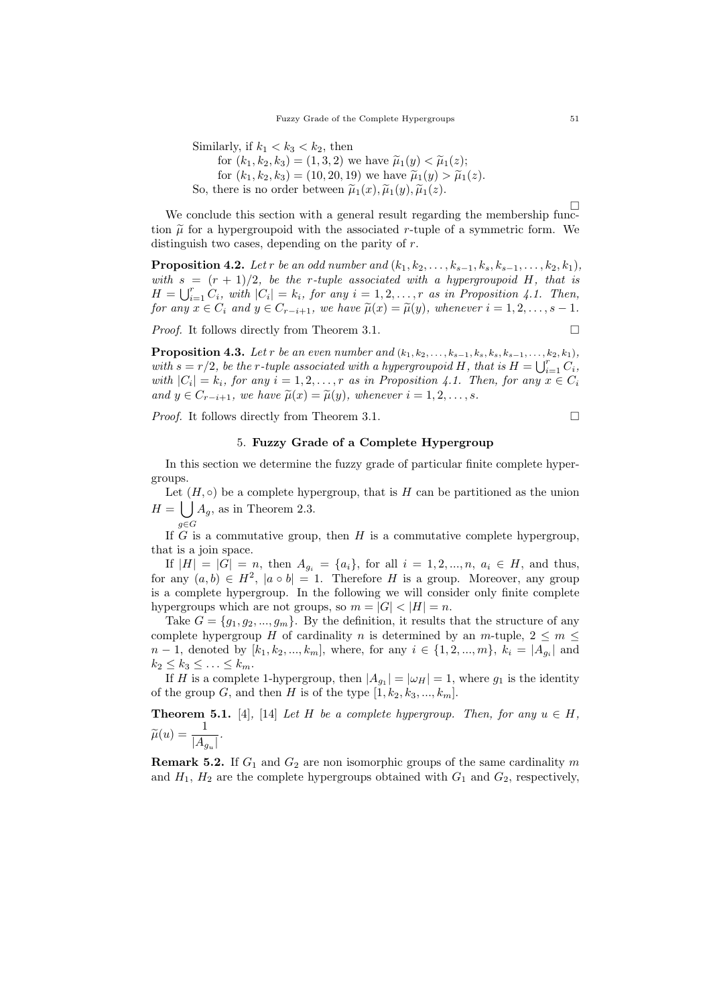Similarly, if  $k_1 < k_3 < k_2$ , then for  $(k_1, k_2, k_3) = (1, 3, 2)$  we have  $\tilde{\mu}_1(y) < \tilde{\mu}_1(z)$ ; for  $(k_1, k_2, k_3) = (10, 20, 19)$  we have  $\tilde{\mu}_1(y) > \tilde{\mu}_1(z)$ . So, there is no order between  $\tilde{\mu}_1(x), \tilde{\mu}_1(y), \tilde{\mu}_1(z)$ .

 $\Box$ We conclude this section with a general result regarding the membership function  $\tilde{\mu}$  for a hypergroupoid with the associated r-tuple of a symmetric form. We distinguish two cases, depending on the parity of  $r$ .

**Proposition 4.2.** Let r be an odd number and  $(k_1, k_2, ..., k_{s-1}, k_s, k_{s-1}, ..., k_2, k_1)$ , with  $s = (r + 1)/2$ , be the r-tuple associated with a hypergroupoid H, that is  $H = \bigcup_{i=1}^r C_i$ , with  $|C_i| = k_i$ , for any  $i = 1, 2, \ldots, r$  as in Proposition 4.1. Then, for any  $x \in C_i$  and  $y \in C_{r-i+1}$ , we have  $\tilde{\mu}(x) = \tilde{\mu}(y)$ , whenever  $i = 1, 2, \ldots, s-1$ .

*Proof.* It follows directly from Theorem 3.1.  $\Box$ 

**Proposition 4.3.** Let r be an even number and  $(k_1, k_2, \ldots, k_{s-1}, k_s, k_s, k_{s-1}, \ldots, k_2, k_1)$ , with  $s = r/2$ , be the r-tuple associated with a hypergroupoid H, that is  $H = \bigcup_{i=1}^r C_i$ , with  $|C_i| = k_i$ , for any  $i = 1, 2, ..., r$  as in Proposition 4.1. Then, for any  $x \in C_i$ and  $y \in C_{r-i+1}$ , we have  $\tilde{\mu}(x) = \tilde{\mu}(y)$ , whenever  $i = 1, 2, \ldots, s$ .

*Proof.* It follows directly from Theorem 3.1.  $\Box$ 

### 5. Fuzzy Grade of a Complete Hypergroup

In this section we determine the fuzzy grade of particular finite complete hypergroups.

Let  $(H, \circ)$  be a complete hypergroup, that is H can be partitioned as the union  $H = \int A_g$ , as in Theorem 2.3.

g∈G If  $G$  is a commutative group, then  $H$  is a commutative complete hypergroup, that is a join space.

If  $|H| = |G| = n$ , then  $A_{g_i} = \{a_i\}$ , for all  $i = 1, 2, ..., n$ ,  $a_i \in H$ , and thus, for any  $(a, b) \in H^2$ ,  $|a \circ b| = 1$ . Therefore H is a group. Moreover, any group is a complete hypergroup. In the following we will consider only finite complete hypergroups which are not groups, so  $m = |G| < |H| = n$ .

Take  $G = \{g_1, g_2, ..., g_m\}$ . By the definition, it results that the structure of any complete hypergroup H of cardinality n is determined by an  $m$ -tuple,  $2 \le m \le$  $n-1$ , denoted by  $[k_1, k_2, ..., k_m]$ , where, for any  $i \in \{1, 2, ..., m\}$ ,  $k_i = |A_{g_i}|$  and  $k_2 \leq k_3 \leq \ldots \leq k_m$ .

If H is a complete 1-hypergroup, then  $|A_{g_1}| = |\omega_H| = 1$ , where  $g_1$  is the identity of the group G, and then H is of the type  $[1, k_2, k_3, ..., k_m]$ .

**Theorem 5.1.** [4], [14] Let H be a complete hypergroup. Then, for any  $u \in H$ ,  $\widetilde{\mu}(u) = \frac{1}{|A_{g_u}|}.$ 

**Remark 5.2.** If  $G_1$  and  $G_2$  are non isomorphic groups of the same cardinality m and  $H_1$ ,  $H_2$  are the complete hypergroups obtained with  $G_1$  and  $G_2$ , respectively,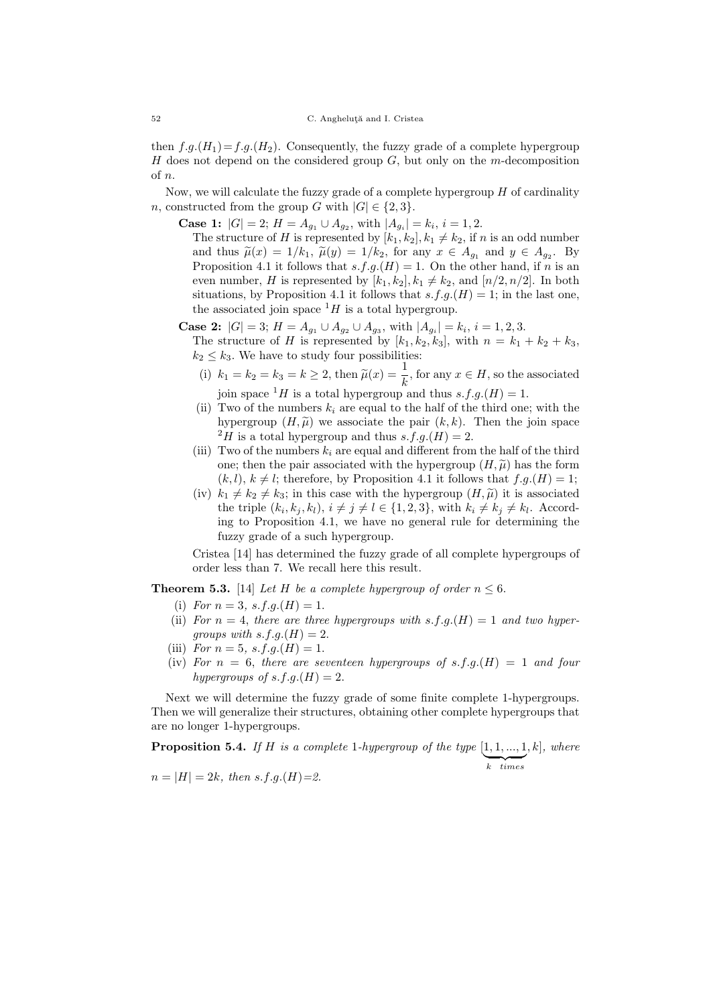then  $f.g.(H_1)=f.g.(H_2)$ . Consequently, the fuzzy grade of a complete hypergroup H does not depend on the considered group  $G$ , but only on the m-decomposition of n.

Now, we will calculate the fuzzy grade of a complete hypergroup  $H$  of cardinality n, constructed from the group G with  $|G| \in \{2,3\}.$ 

**Case 1:**  $|G| = 2$ ;  $H = A_{g_1} \cup A_{g_2}$ , with  $|A_{g_i}| = k_i$ ,  $i = 1, 2$ . The structure of H is represented by  $[k_1, k_2], k_1 \neq k_2$ , if n is an odd number and thus  $\tilde{\mu}(x) = 1/k_1$ ,  $\tilde{\mu}(y) = 1/k_2$ , for any  $x \in A_{g_1}$  and  $y \in A_{g_2}$ . By Proposition 4.1 it follows that  $s.f.g.(H) = 1$ . On the other hand, if n is an even number, H is represented by  $[k_1, k_2], k_1 \neq k_2$ , and  $[n/2, n/2]$ . In both situations, by Proposition 4.1 it follows that  $s.f.g.(H) = 1$ ; in the last one,

the associated join space  $^1H$  is a total hypergroup.

**Case 2:**  $|G| = 3$ ;  $H = A_{g_1} \cup A_{g_2} \cup A_{g_3}$ , with  $|A_{g_i}| = k_i$ ,  $i = 1, 2, 3$ . The structure of H is represented by  $[k_1, k_2, k_3]$ , with  $n = k_1 + k_2 + k_3$ ,  $k_2 \leq k_3$ . We have to study four possibilities:

- (i)  $k_1 = k_2 = k_3 = k \geq 2$ , then  $\tilde{\mu}(x) = \frac{1}{k}$ , for any  $x \in H$ , so the associated join space <sup>1</sup>H is a total hypergroup and thus  $s.f.g.(H) = 1$ .
- (ii) Two of the numbers  $k_i$  are equal to the half of the third one; with the hypergroup  $(H, \tilde{\mu})$  we associate the pair  $(k, k)$ . Then the join space  $^{2}H$  is a total hypergroup and thus s.f.g.(H) = 2.
- (iii) Two of the numbers  $k_i$  are equal and different from the half of the third one; then the pair associated with the hypergroup  $(H, \tilde{\mu})$  has the form  $(k, l), k \neq l$ ; therefore, by Proposition 4.1 it follows that  $f.g.(H) = 1$ ;
- (iv)  $k_1 \neq k_2 \neq k_3$ ; in this case with the hypergroup  $(H, \tilde{\mu})$  it is associated the triple  $(k_i, k_j, k_l)$ ,  $i \neq j \neq l \in \{1, 2, 3\}$ , with  $k_i \neq k_j \neq k_l$ . According to Proposition 4.1, we have no general rule for determining the fuzzy grade of a such hypergroup.

Cristea [14] has determined the fuzzy grade of all complete hypergroups of order less than 7. We recall here this result.

**Theorem 5.3.** [14] Let H be a complete hypergroup of order  $n \leq 6$ .

- (i) For  $n = 3$ , s.f.g.(H) = 1.
- (ii) For  $n = 4$ , there are three hypergroups with s.f.g.(H) = 1 and two hypergroups with  $s.f.g.(H) = 2$ .
- (iii) For  $n = 5$ , s.f.g.(H) = 1.
- (iv) For  $n = 6$ , there are seventeen hypergroups of s.f.g.(H) = 1 and four hypergroups of  $s.f.g.(H) = 2$ .

Next we will determine the fuzzy grade of some finite complete 1-hypergroups. Then we will generalize their structures, obtaining other complete hypergroups that are no longer 1-hypergroups.

**Proposition 5.4.** If H is a complete 1-hypergroup of the type  $[1, 1, ..., 1]$  $\overline{k \quad times}$  $,k$ , where

 $n = |H| = 2k$ , then s.f.q. $(H)=2$ .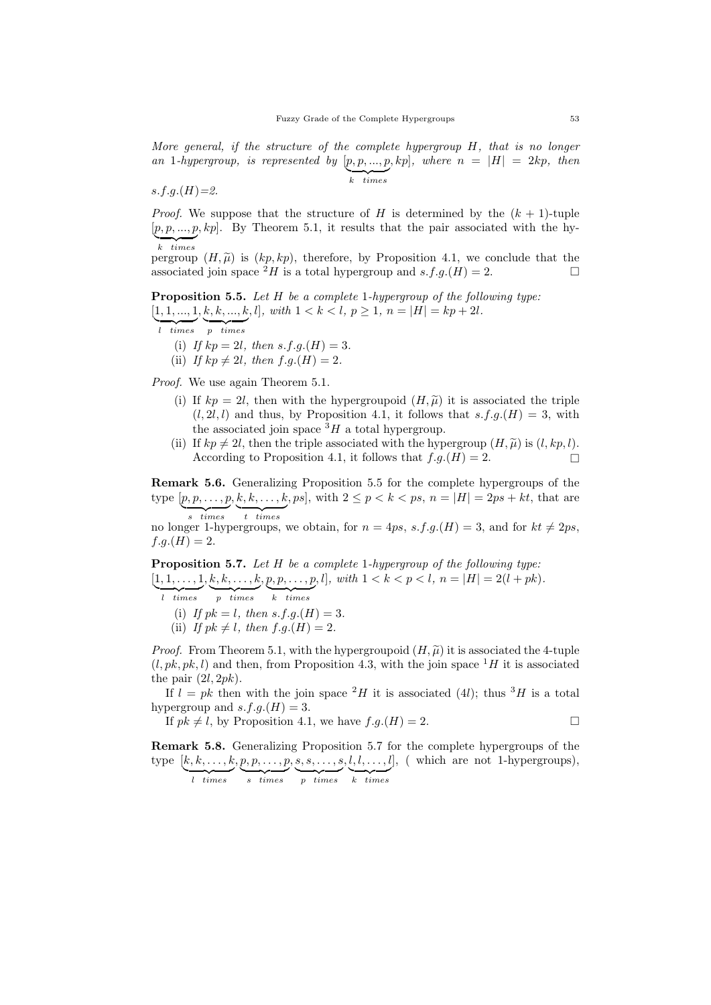More general, if the structure of the complete hypergroup  $H$ , that is no longer an 1-hypergroup, is represented by  $[p, p, ..., p, kp]$ , where  $n = |H| = 2kp$ , then  $\overline{k \quad times}$ 

$$
s.f.g.(H)=2.
$$

*Proof.* We suppose that the structure of H is determined by the  $(k + 1)$ -tuple  $[p, p, ..., p, kp]$ . By Theorem 5.1, it results that the pair associated with the hy- $\overline{k \quad times}$ 

pergroup  $(H, \widetilde{\mu})$  is  $(kp, kp)$ , therefore, by Proposition 4.1, we conclude that the associated join space  ${}^2H$  is a total hypergroup and  $s.f.a.(H) = 2$ . associated join space  $^2H$  is a total hypergroup and  $s.f.g.(H) = 2$ .

Proposition 5.5. Let H be a complete 1-hypergroup of the following type:  $[1, 1, ..., 1, k, k, ..., k, l], with \ 1 < k < l, p \ge 1, n = |H| = kp + 2l.$ 

- $\overline{l \times | }$  times  $\overline{p \times | }$  times
	- (i) If  $kp = 2l$ , then s.f.g.(H) = 3.
	- (ii) If  $kp \neq 2l$ , then  $f.g.(H) = 2$ .

Proof. We use again Theorem 5.1.

- (i) If  $kp = 2l$ , then with the hypergroupoid  $(H, \tilde{\mu})$  it is associated the triple  $(l, 2l, l)$  and thus, by Proposition 4.1, it follows that  $s.f.g.(H) = 3$ , with the associated join space  ${}^{3}H$  a total hypergroup.
- (ii) If  $kp \neq 2l$ , then the triple associated with the hypergroup  $(H, \tilde{\mu})$  is  $(l, kp, l)$ .<br>According to Proposition 4.1, it follows that  $f.g.(H) = 2$ . According to Proposition 4.1, it follows that  $f.g.(H) = 2$ .

Remark 5.6. Generalizing Proposition 5.5 for the complete hypergroups of the type  $[p, p, \ldots, p, k, k, \ldots, k, ps],$  with  $2 \le p < k < ps, n = |H| = 2ps + kt$ , that are  $\overline{s \times times}$  $t$   $times$ 

no longer 1-hypergroups, we obtain, for  $n = 4ps$ , s.f.g.(H) = 3, and for  $kt \neq 2ps$ ,  $f.g.(H) = 2.$ 

Proposition 5.7. Let H be a complete 1-hypergroup of the following type:  $[1, 1, \ldots, 1, k, k, \ldots, k, p, p, \ldots, p, l],$  with  $1 < k < p < l, n = |H| = 2(l + pk).$ 

 $\overline{l}$  times  $\overline{p}$  times  $\overline{k \times times}$ 

- (i) If  $pk = l$ , then  $s.f.g.(H) = 3$ .
- (ii) If  $pk \neq l$ , then  $f.g.(H) = 2$ .

*Proof.* From Theorem 5.1, with the hypergroupoid  $(H, \tilde{\mu})$  it is associated the 4-tuple  $(l, pk, pk, l)$  and then, from Proposition 4.3, with the join space  ${}^{1}H$  it is associated the pair  $(2l, 2pk)$ .

If  $l = pk$  then with the join space  ${}^{2}H$  it is associated (4l); thus  ${}^{3}H$  is a total hypergroup and  $s.f.g.(H) = 3$ .

If  $pk \neq l$ , by Proposition 4.1, we have  $f.g.(H) = 2$ .

Remark 5.8. Generalizing Proposition 5.7 for the complete hypergroups of the type  $[k, k, \ldots, k, p, p, \ldots, p, s, s, \ldots, s, l, l, \ldots, l]$ , (which are not 1-hypergroups),

 $\overline{l \ \ times}$  $s$  times  $\overline{p}$  times  $k$  times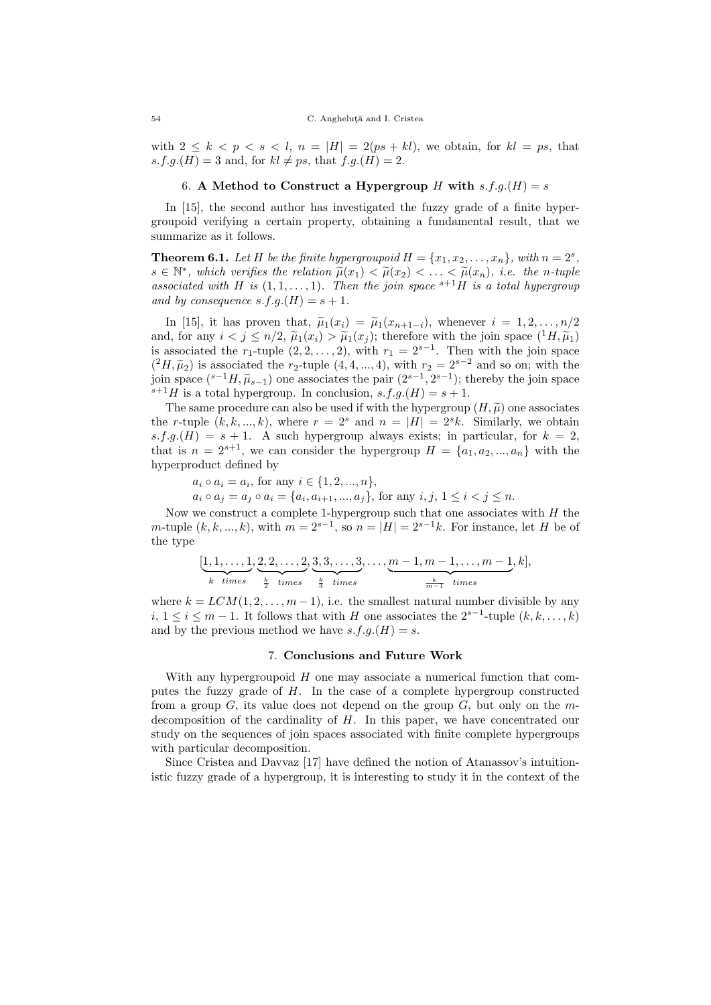with  $2 \leq k \leq p \leq s \leq l$ ,  $n = |H| = 2(ps + kl)$ , we obtain, for  $kl = ps$ , that  $s.f.g.(H) = 3$  and, for  $kl \neq ps$ , that  $f.g.(H) = 2$ .

## 6. A Method to Construct a Hypergroup H with  $s.f.g.(H) = s$

In [15], the second author has investigated the fuzzy grade of a finite hypergroupoid verifying a certain property, obtaining a fundamental result, that we summarize as it follows.

**Theorem 6.1.** Let H be the finite hypergroupoid  $H = \{x_1, x_2, \ldots, x_n\}$ , with  $n = 2^s$ ,  $s \in \mathbb{N}^*$ , which verifies the relation  $\widetilde{\mu}(x_1) < \widetilde{\mu}(x_2) < \ldots < \widetilde{\mu}(x_n)$ , i.e. the n-tuple<br>associated with H is (1.1 – 1). Then the join space  $s+1$  H is a total hyperaround associated with H is  $(1, 1, \ldots, 1)$ . Then the join space  $s+1$ H is a total hypergroup and by consequence  $s.f.g.(H) = s + 1$ .

In [15], it has proven that,  $\tilde{\mu}_1(x_i) = \tilde{\mu}_1(x_{n+1-i})$ , whenever  $i = 1, 2, \ldots, n/2$ and, for any  $i < j \leq n/2$ ,  $\tilde{\mu}_1(x_i) > \tilde{\mu}_1(x_i)$ ; therefore with the join space  $({}^1H,\tilde{\mu}_1)$ is associated the r<sub>1</sub>-tuple  $(2, 2, ..., 2)$ , with  $r_1 = 2^{s-1}$ . Then with the join space  $({}^2H, \tilde{\mu}_2)$  is associated the r<sub>2</sub>-tuple  $(4, 4, ..., 4)$ , with r<sub>2</sub> =  $2^{s-2}$  and so on; with the join space  $\binom{s-1}{k}$ ,  $\widetilde{\mu}_{s-1}$  one associates the pair  $(2^{s-1}, 2^{s-1})$ ; thereby the join space  $s+1$  H is a total hypergroup. In conclusion,  $s \nmid a(H) = s+1$  $s+1$  is a total hypergroup. In conclusion,  $s.f.g.(H) = s + 1$ .

The same procedure can also be used if with the hypergroup  $(H, \tilde{\mu})$  one associates the r-tuple  $(k, k, ..., k)$ , where  $r = 2<sup>s</sup>$  and  $n = |H| = 2<sup>s</sup>k$ . Similarly, we obtain  $s.f.g.(H) = s + 1$ . A such hypergroup always exists; in particular, for  $k = 2$ , that is  $n = 2^{s+1}$ , we can consider the hypergroup  $H = \{a_1, a_2, ..., a_n\}$  with the hyperproduct defined by

 $a_i \circ a_i = a_i$ , for any  $i \in \{1, 2, ..., n\},$ 

 $a_i \circ a_j = a_j \circ a_i = \{a_i, a_{i+1}, ..., a_j\}$ , for any  $i, j, 1 \leq i < j \leq n$ .

Now we construct a complete 1-hypergroup such that one associates with  $H$  the m-tuple  $(k, k, ..., k)$ , with  $m = 2^{s-1}$ , so  $n = |H| = 2^{s-1}k$ . For instance, let H be of the type

$$
[\underbrace{1,1,\ldots,1}_{k \text{ times}},\underbrace{2,2,\ldots,2}_{\underbrace{k}_{\text{ times}},\underbrace{3,3,\ldots,3}_{\underbrace{k}_{\text{ times}},\ldots,\underbrace{m-1,m-1,\ldots,m-1}_{\underbrace{k-1}}},k],
$$

where  $k = LCM(1, 2, \ldots, m-1)$ , i.e. the smallest natural number divisible by any *i*,  $1 \le i \le m-1$ . It follows that with H one associates the  $2^{s-1}$ -tuple  $(k, k, ..., k)$ and by the previous method we have  $s.f.g.(H) = s$ .

## 7. Conclusions and Future Work

With any hypergroupoid H one may associate a numerical function that computes the fuzzy grade of H. In the case of a complete hypergroup constructed from a group  $G$ , its value does not depend on the group  $G$ , but only on the mdecomposition of the cardinality of  $H$ . In this paper, we have concentrated our study on the sequences of join spaces associated with finite complete hypergroups with particular decomposition.

Since Cristea and Davvaz [17] have defined the notion of Atanassov's intuitionistic fuzzy grade of a hypergroup, it is interesting to study it in the context of the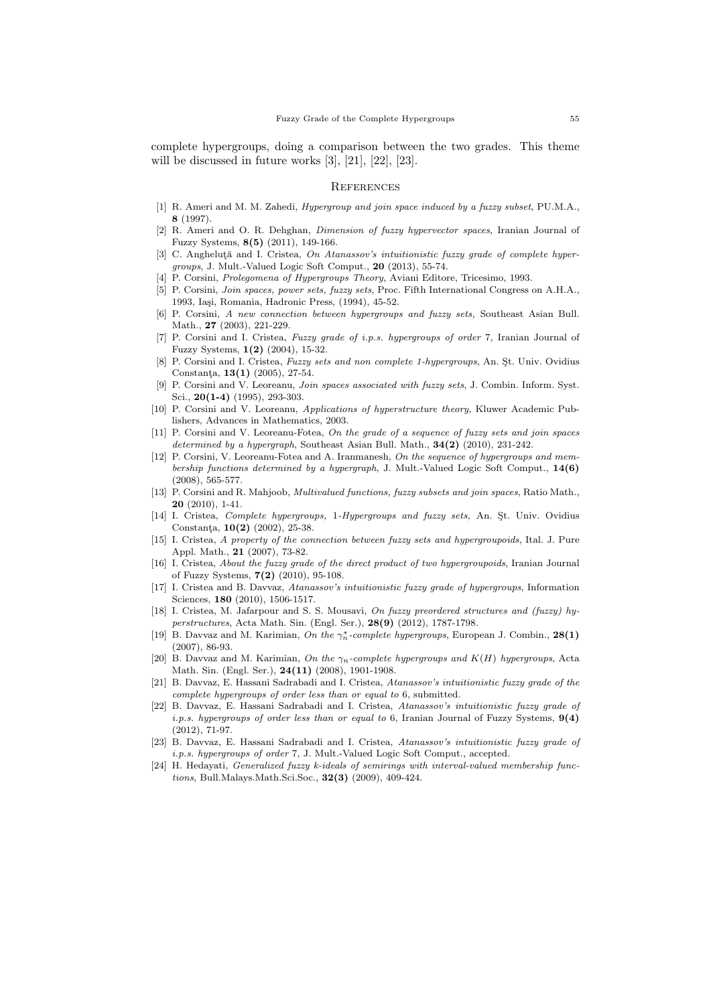complete hypergroups, doing a comparison between the two grades. This theme will be discussed in future works [3], [21], [22], [23].

#### **REFERENCES**

- [1] R. Ameri and M. M. Zahedi, Hypergroup and join space induced by a fuzzy subset, PU.M.A., 8 (1997).
- [2] R. Ameri and O. R. Dehghan, Dimension of fuzzy hypervector spaces, Iranian Journal of Fuzzy Systems, 8(5) (2011), 149-166.
- [3] C. Angheluta and I. Cristea, On Atanassov's intuitionistic fuzzy grade of complete hypergroups, J. Mult.-Valued Logic Soft Comput., 20 (2013), 55-74.
- [4] P. Corsini, Prolegomena of Hypergroups Theory, Aviani Editore, Tricesimo, 1993.
- [5] P. Corsini, Join spaces, power sets, fuzzy sets, Proc. Fifth International Congress on A.H.A., 1993, Iași, Romania, Hadronic Press, (1994), 45-52.
- [6] P. Corsini, A new connection between hypergroups and fuzzy sets, Southeast Asian Bull. Math., 27 (2003), 221-229.
- [7] P. Corsini and I. Cristea, Fuzzy grade of i.p.s. hypergroups of order 7, Iranian Journal of Fuzzy Systems, 1(2) (2004), 15-32.
- [8] P. Corsini and I. Cristea, Fuzzy sets and non complete 1-hypergroups, An. St. Univ. Ovidius Constanta,  $13(1)$  (2005), 27-54.
- [9] P. Corsini and V. Leoreanu, Join spaces associated with fuzzy sets, J. Combin. Inform. Syst. Sci., 20(1-4) (1995), 293-303.
- [10] P. Corsini and V. Leoreanu, Applications of hyperstructure theory, Kluwer Academic Publishers, Advances in Mathematics, 2003.
- [11] P. Corsini and V. Leoreanu-Fotea, On the grade of a sequence of fuzzy sets and join spaces determined by a hypergraph, Southeast Asian Bull. Math.,  $34(2)$  (2010), 231-242.
- [12] P. Corsini, V. Leoreanu-Fotea and A. Iranmanesh, On the sequence of hypergroups and membership functions determined by a hypergraph, J. Mult.-Valued Logic Soft Comput.,  $14(6)$ (2008), 565-577.
- [13] P. Corsini and R. Mahjoob, Multivalued functions, fuzzy subsets and join spaces, Ratio Math., 20 (2010), 1-41.
- [14] I. Cristea, Complete hypergroups, 1-Hypergroups and fuzzy sets, An. St. Univ. Ovidius Constanța, 10(2) (2002), 25-38.
- [15] I. Cristea, A property of the connection between fuzzy sets and hypergroupoids, Ital. J. Pure Appl. Math., 21 (2007), 73-82.
- [16] I. Cristea, About the fuzzy grade of the direct product of two hypergroupoids, Iranian Journal of Fuzzy Systems, 7(2) (2010), 95-108.
- [17] I. Cristea and B. Davvaz, Atanassov's intuitionistic fuzzy grade of hypergroups, Information Sciences, 180 (2010), 1506-1517.
- [18] I. Cristea, M. Jafarpour and S. S. Mousavi, On fuzzy preordered structures and (fuzzy) hyperstructures, Acta Math. Sin. (Engl. Ser.), 28(9) (2012), 1787-1798.
- [19] B. Davvaz and M. Karimian, On the  $\gamma_n^*$ -complete hypergroups, European J. Combin., 28(1) (2007), 86-93.
- [20] B. Davvaz and M. Karimian, On the  $\gamma_n$ -complete hypergroups and K(H) hypergroups, Acta Math. Sin. (Engl. Ser.), 24(11) (2008), 1901-1908.
- [21] B. Davvaz, E. Hassani Sadrabadi and I. Cristea, Atanassov's intuitionistic fuzzy grade of the complete hypergroups of order less than or equal to 6, submitted.
- [22] B. Davvaz, E. Hassani Sadrabadi and I. Cristea, Atanassov's intuitionistic fuzzy grade of *i.p.s. hypergroups of order less than or equal to* 6, Iranian Journal of Fuzzy Systems,  $9(4)$ (2012), 71-97.
- [23] B. Davvaz, E. Hassani Sadrabadi and I. Cristea, Atanassov's intuitionistic fuzzy grade of i.p.s. hypergroups of order 7, J. Mult.-Valued Logic Soft Comput., accepted.
- [24] H. Hedayati, Generalized fuzzy k-ideals of semirings with interval-valued membership functions, Bull.Malays.Math.Sci.Soc., 32(3) (2009), 409-424.